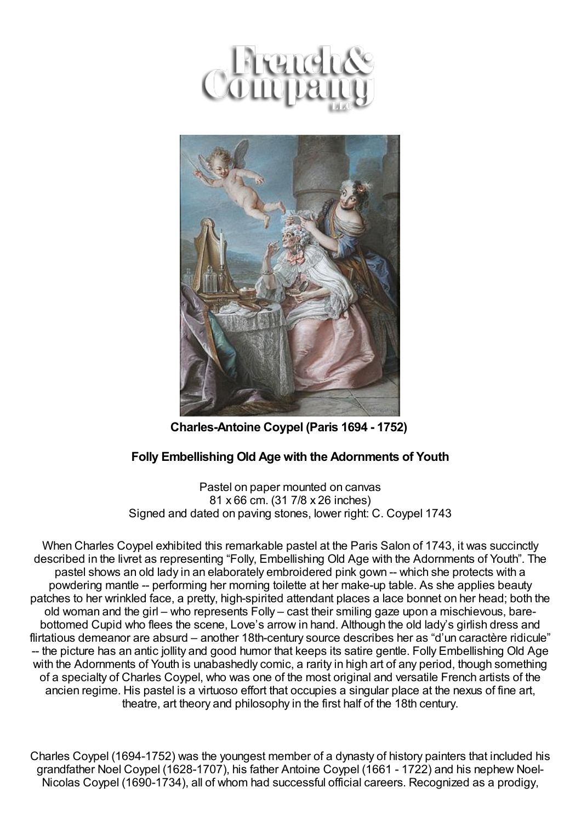



**Charles-Antoine Coypel (Paris 1694 - 1752)**

## **Folly Embellishing Old Age with the Adornments of Youth**

Pastel on paper mounted on canvas 81 x 66 cm. (31 7/8 x 26 inches) Signed and dated on paving stones, lower right: C. Coypel 1743

When Charles Coypel exhibited this remarkable pastel at the Paris Salon of 1743, it was succinctly described in the livret as representing "Folly, Embellishing Old Age with the Adornments of Youth". The pastel shows an old lady in an elaborately embroidered pink gown -- which she protects with a powdering mantle -- performing her morning toilette at her make-up table. As she applies beauty patches to her wrinkled face, a pretty, high-spirited attendant places a lace bonnet on her head; both the old woman and the girl – who represents Folly – cast their smiling gaze upon a mischievous, barebottomed Cupid who flees the scene, Love's arrow in hand. Although the old lady's girlish dress and flirtatious demeanor are absurd – another 18th-century source describes her as "d'un caractère ridicule" -- the picture has an antic jollity and good humor that keeps its satire gentle. Folly Embellishing Old Age with the Adornments of Youth is unabashedly comic, a rarity in high art of any period, though something of a specialty of Charles Coypel, who was one of the most original and versatile French artists of the ancien regime. His pastel is a virtuoso effort that occupies a singular place at the nexus of fine art, theatre, art theory and philosophy in the first half of the 18th century.

Charles Coypel (1694-1752) was the youngest member of a dynasty of history painters that included his grandfather Noel Coypel (1628-1707), his father Antoine Coypel (1661 - 1722) and his nephew Noel-Nicolas Coypel (1690-1734), all of whom had successful official careers. Recognized as a prodigy,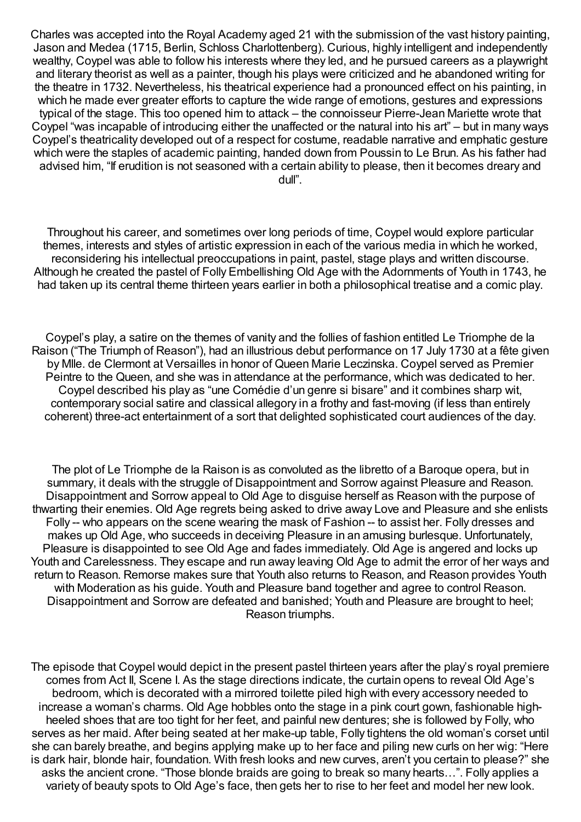Charles was accepted into the Royal Academy aged 21 with the submission of the vast history painting, Jason and Medea (1715, Berlin, Schloss Charlottenberg). Curious, highly intelligent and independently wealthy, Coypel was able to follow his interests where they led, and he pursued careers as a playwright and literary theorist as well as a painter, though his plays were criticized and he abandoned writing for the theatre in 1732. Nevertheless, his theatrical experience had a pronounced effect on his painting, in which he made ever greater efforts to capture the wide range of emotions, gestures and expressions typical of the stage. This too opened him to attack – the connoisseur Pierre-Jean Mariette wrote that Coypel "was incapable of introducing either the unaffected or the natural into his art" – but in many ways Coypel's theatricality developed out of a respect for costume, readable narrative and emphatic gesture which were the staples of academic painting, handed down from Poussin to Le Brun. As his father had advised him, "If erudition is not seasoned with a certain ability to please, then it becomes dreary and dull".

Throughout his career, and sometimes over long periods of time, Coypel would explore particular themes, interests and styles of artistic expression in each of the various media in which he worked, reconsidering his intellectual preoccupations in paint, pastel, stage plays and written discourse. Although he created the pastel of Folly Embellishing Old Age with the Adornments of Youth in 1743, he had taken up its central theme thirteen years earlier in both a philosophical treatise and a comic play.

Coypel's play, a satire on the themes of vanity and the follies of fashion entitled Le Triomphe de la Raison ("The Triumph of Reason"), had an illustrious debut performance on 17 July 1730 at a fête given by Mlle. de Clermont at Versailles in honor of Queen Marie Leczinska. Coypel served as Premier Peintre to the Queen, and she was in attendance at the performance, which was dedicated to her. Coypel described his play as "une Comédie d'un genre si bisare" and it combines sharp wit, contemporary social satire and classical allegory in a frothy and fast-moving (if less than entirely coherent) three-act entertainment of a sort that delighted sophisticated court audiences of the day.

The plot of Le Triomphe de la Raison is as convoluted as the libretto of a Baroque opera, but in summary, it deals with the struggle of Disappointment and Sorrow against Pleasure and Reason. Disappointment and Sorrow appeal to Old Age to disguise herself as Reason with the purpose of thwarting their enemies. Old Age regrets being asked to drive away Love and Pleasure and she enlists Folly -- who appears on the scene wearing the mask of Fashion -- to assist her. Folly dresses and makes up Old Age, who succeeds in deceiving Pleasure in an amusing burlesque. Unfortunately, Pleasure is disappointed to see Old Age and fades immediately. Old Age is angered and locks up Youth and Carelessness. They escape and run away leaving Old Age to admit the error of her ways and return to Reason. Remorse makes sure that Youth also returns to Reason, and Reason provides Youth with Moderation as his guide. Youth and Pleasure band together and agree to control Reason. Disappointment and Sorrow are defeated and banished; Youth and Pleasure are brought to heel; Reason triumphs.

The episode that Coypel would depict in the present pastel thirteen years after the play's royal premiere comes from Act II, Scene I. As the stage directions indicate, the curtain opens to reveal Old Age's bedroom, which is decorated with a mirrored toilette piled high with every accessory needed to increase a woman's charms. Old Age hobbles onto the stage in a pink court gown, fashionable highheeled shoes that are too tight for her feet, and painful new dentures; she is followed by Folly, who serves as her maid. After being seated at her make-up table, Folly tightens the old woman's corset until she can barely breathe, and begins applying make up to her face and piling new curls on her wig: "Here is dark hair, blonde hair, foundation. With fresh looks and new curves, aren't you certain to please?" she asks the ancient crone. "Those blonde braids are going to break so many hearts…". Folly applies a variety of beauty spots to Old Age's face, then gets her to rise to her feet and model her new look.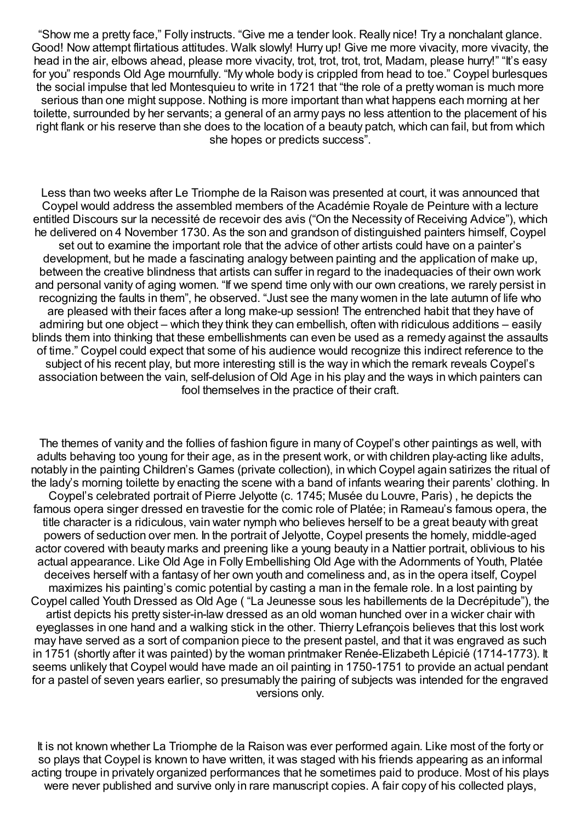"Show me a pretty face," Folly instructs. "Give me a tender look. Really nice! Try a nonchalant glance. Good! Now attempt flirtatious attitudes. Walk slowly! Hurry up! Give me more vivacity, more vivacity, the head in the air, elbows ahead, please more vivacity, trot, trot, trot, trot, Madam, please hurry!" "It's easy for you" responds Old Age mournfully. "My whole body is crippled from head to toe." Coypel burlesques the social impulse that led Montesquieu to write in 1721 that "the role of a pretty woman is much more serious than one might suppose. Nothing is more important than what happens each morning at her toilette, surrounded by her servants; a general of an army pays no less attention to the placement of his right flank or his reserve than she does to the location of a beauty patch, which can fail, but from which she hopes or predicts success".

Less than two weeks after Le Triomphe de la Raison was presented at court, it was announced that Coypel would address the assembled members of the Académie Royale de Peinture with a lecture entitled Discours sur la necessité de recevoir des avis ("On the Necessity of Receiving Advice"), which he delivered on 4 November 1730. As the son and grandson of distinguished painters himself, Coypel set out to examine the important role that the advice of other artists could have on a painter's development, but he made a fascinating analogy between painting and the application of make up, between the creative blindness that artists can suffer in regard to the inadequacies of their own work and personal vanity of aging women. "If we spend time only with our own creations, we rarely persist in recognizing the faults in them", he observed. "Just see the many women in the late autumn of life who are pleased with their faces after a long make-up session! The entrenched habit that they have of admiring but one object – which they think they can embellish, often with ridiculous additions – easily blinds them into thinking that these embellishments can even be used as a remedy against the assaults of time." Coypel could expect that some of his audience would recognize this indirect reference to the subject of his recent play, but more interesting still is the way in which the remark reveals Coypel's association between the vain, self-delusion of Old Age in his play and the ways in which painters can fool themselves in the practice of their craft.

The themes of vanity and the follies of fashion figure in many of Coypel's other paintings as well, with adults behaving too young for their age, as in the present work, or with children play-acting like adults, notably in the painting Children's Games (private collection), in which Coypel again satirizes the ritual of the lady's morning toilette by enacting the scene with a band of infants wearing their parents' clothing. In Coypel's celebrated portrait of Pierre Jelyotte (c. 1745; Musée du Louvre, Paris) , he depicts the famous opera singer dressed en travestie for the comic role of Platée; in Rameau's famous opera, the title character is a ridiculous, vain water nymph who believes herself to be a great beauty with great powers of seduction over men. In the portrait of Jelyotte, Coypel presents the homely, middle-aged actor covered with beauty marks and preening like a young beauty in a Nattier portrait, oblivious to his actual appearance. Like Old Age in Folly Embellishing Old Age with the Adornments of Youth, Platée deceives herself with a fantasy of her own youth and comeliness and, as in the opera itself, Coypel maximizes his painting's comic potential by casting a man in the female role. In a lost painting by Coypel called Youth Dressed as Old Age ( "La Jeunesse sous les habillements de la Decrépitude"), the artist depicts his pretty sister-in-law dressed as an old woman hunched over in a wicker chair with eyeglasses in one hand and a walking stick in the other. Thierry Lefrançois believes that this lost work may have served as a sort of companion piece to the present pastel, and that it was engraved as such in 1751 (shortly after it was painted) by the woman printmaker Renée-Elizabeth Lépicié (1714-1773). It seems unlikely that Coypel would have made an oil painting in 1750-1751 to provide an actual pendant for a pastel of seven years earlier, so presumably the pairing of subjects was intended for the engraved versions only.

It is not known whether La Triomphe de la Raison was ever performed again. Like most of the forty or so plays that Coypel is known to have written, it was staged with his friends appearing as an informal acting troupe in privately organized performances that he sometimes paid to produce. Most of his plays were never published and survive only in rare manuscript copies. A fair copy of his collected plays,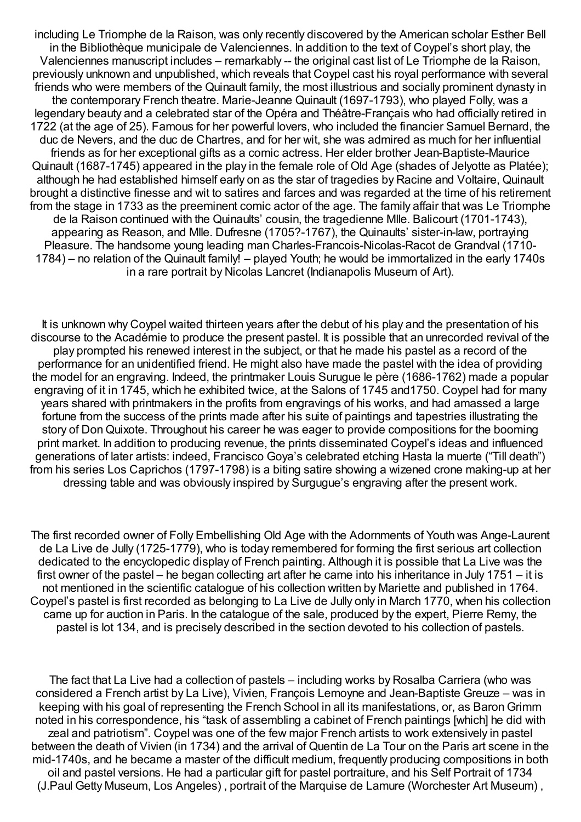including Le Triomphe de la Raison, was only recently discovered by the American scholar Esther Bell in the Bibliothèque municipale de Valenciennes. In addition to the text of Coypel's short play, the Valenciennes manuscript includes – remarkably -- the original cast list of Le Triomphe de la Raison, previously unknown and unpublished, which reveals that Coypel cast his royal performance with several friends who were members of the Quinault family, the most illustrious and socially prominent dynasty in the contemporary French theatre. Marie-Jeanne Quinault (1697-1793), who played Folly, was a legendary beauty and a celebrated star of the Opéra and Théâtre-Français who had officially retired in 1722 (at the age of 25). Famous for her powerful lovers, who included the financier Samuel Bernard, the duc de Nevers, and the duc de Chartres, and for her wit, she was admired as much for her influential friends as for her exceptional gifts as a comic actress. Her elder brother Jean-Baptiste-Maurice Quinault (1687-1745) appeared in the play in the female role of Old Age (shades of Jelyotte as Platée); although he had established himself early on as the star of tragedies by Racine and Voltaire, Quinault brought a distinctive finesse and wit to satires and farces and was regarded at the time of his retirement from the stage in 1733 as the preeminent comic actor of the age. The family affair that was Le Triomphe de la Raison continued with the Quinaults' cousin, the tragedienne Mlle. Balicourt (1701-1743), appearing as Reason, and Mlle. Dufresne (1705?-1767), the Quinaults' sister-in-law, portraying Pleasure. The handsome young leading man Charles-Francois-Nicolas-Racot de Grandval (1710- 1784) – no relation of the Quinault family! – played Youth; he would be immortalized in the early 1740s in a rare portrait by Nicolas Lancret (Indianapolis Museum of Art).

It is unknown why Coypel waited thirteen years after the debut of his play and the presentation of his discourse to the Académie to produce the present pastel. It is possible that an unrecorded revival of the play prompted his renewed interest in the subject, or that he made his pastel as a record of the performance for an unidentified friend. He might also have made the pastel with the idea of providing the model for an engraving. Indeed, the printmaker Louis Surugue le père (1686-1762) made a popular engraving of it in 1745, which he exhibited twice, at the Salons of 1745 and1750. Coypel had for many years shared with printmakers in the profits from engravings of his works, and had amassed a large fortune from the success of the prints made after his suite of paintings and tapestries illustrating the story of Don Quixote. Throughout his career he was eager to provide compositions for the booming print market. In addition to producing revenue, the prints disseminated Coypel's ideas and influenced generations of later artists: indeed, Francisco Goya's celebrated etching Hasta la muerte ("Till death") from his series Los Caprichos (1797-1798) is a biting satire showing a wizened crone making-up at her dressing table and was obviously inspired by Surgugue's engraving after the present work.

The first recorded owner of Folly Embellishing Old Age with the Adornments of Youth was Ange-Laurent de La Live de Jully (1725-1779), who is today remembered for forming the first serious art collection dedicated to the encyclopedic display of French painting. Although it is possible that La Live was the first owner of the pastel – he began collecting art after he came into his inheritance in July 1751 – it is not mentioned in the scientific catalogue of his collection written by Mariette and published in 1764. Coypel's pastel is first recorded as belonging to La Live de Jully only in March 1770, when his collection came up for auction in Paris. In the catalogue of the sale, produced by the expert, Pierre Remy, the pastel is lot 134, and is precisely described in the section devoted to his collection of pastels.

The fact that La Live had a collection of pastels – including works by Rosalba Carriera (who was considered a French artist by La Live), Vivien, François Lemoyne and Jean-Baptiste Greuze – was in keeping with his goal of representing the French School in all its manifestations, or, as BaronGrimm noted in his correspondence, his "task of assembling a cabinet of French paintings [which] he did with zeal and patriotism". Coypel was one of the few major French artists to work extensively in pastel between the death of Vivien (in 1734) and the arrival of Quentin de La Tour on the Paris art scene in the mid-1740s, and he became a master of the difficult medium, frequently producing compositions in both oil and pastel versions. He had a particular gift for pastel portraiture, and his Self Portrait of 1734 (J.Paul Getty Museum, Los Angeles) , portrait of the Marquise de Lamure (Worchester Art Museum) ,